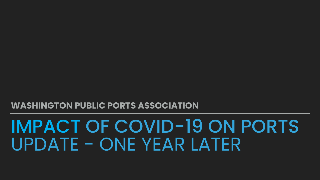# IMPACT OF COVID-19 ON PORTS UPDATE - ONE YEAR LATER

## **WASHINGTON PUBLIC PORTS ASSOCIATION**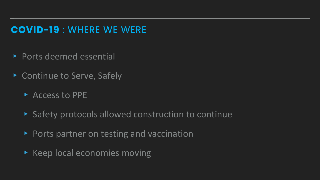## **COVID-19** : WHERE WE WERE **COVID-19** : WHERE WE WERE

- ▸ Ports deemed essential
- ▸ Continue to Serve, Safely
	- ▸ Access to PPE
	- ▸ Safety protocols allowed construction to continue
	- ▸ Ports partner on testing and vaccination
	- ▸ Keep local economies moving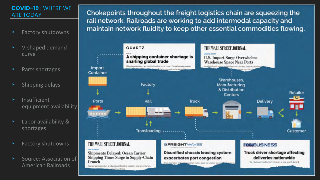- Factory shutdowns
- ▸ V-shaped demand curve
- Parts shortages
- ▸ Shipping delays
- **Insufficient** equipment availability
- ▸ Labor availability & shortages
- Factory shutdowns
- Source: Association of American Railroads

Chokepoints throughout the freight logistics chain are squeezing the rail network. Railroads are working to add intermodal capacity and maintain network fluidity to keep other essential commodities flowing.



### **COVID-19** : WHERE WE ARE TODAY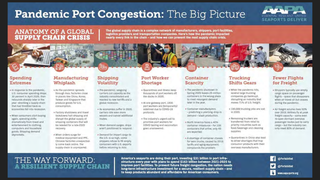## **Pandemic Port Congestion:** The Big Picture

## ANATOMY OF A GLOBAL<br>SUPPLY CHAIN CRISIS

The global supply chain is a complex network of manufacturers, shippers, port facilities, logistics providers and transportation companies. Here's how the pandemic impacted nearly every link in the chain - and how we can prevent the next supply chain crisis.

### Spending **Extremes**

- . In response to the pandemic. U.S. consumer spending drops 30 percent in April 2020, then rebounds sharply later in the year -shocking a supply chain that had throttled back as economies fell into recession.
- When consumers start buying again, spending shifts dramatically from travel and entertainment to clothing. computers and household goods. Shipping demand skyrockets.

#### Manufacturing Whiplash

- \* As the pandemic spreads through Asia, factories close in places like China, Korea. Taiwan and Singapore that produce goods for U.S. consumption.
- \* Factory shutdowns and travel Jockdowns halt shipping and disrupt the global supply of shipping containers that will be needed for a late-2020 recovery.
- . When orders surge for medical equipment and PPE. Chinese factories unexpectedly come back online. The supply chain is unprepared.

### Shipping Volatility

- · Pre-pandemic, seagoing carriers cut capacity as the industry consolidated and reacted to new tarriffs and a global recession.
- = As economies suffer in 2020. carriers idle even more vessels and cancel additional routes.
- · When demand surges, ships aren't positioned to respond.
- · Demand for import cargo to the U.S. is so high, some shippers refuse to fill empty containers with U.S. exports before returning to Asia.

#### **Port Worker** Shortage

- Quarantines and Illness keep thousands of port workers off the docks in 2020.
- · At one gateway port, 1800. port workers are (temporarily) sidelined due to COVID-19 protocols.
- . The industry's urgent call to prioritize port workers for COVID testing and vaccination goes unanswered.

### Container Scarcity

- . The pandemic shutdown in Spring 2020 leaves 25 million containers in the wrong place. to meet resurgent demand later in the year.
- Container manufacturers. - predicting a yearlong drop in demand - slash production.
- North America faces a 40% container Imbalance - for 100 containers that arrive, only 40 are exported.
- A shortage of container chassis for semi trucks, caused by 2019 tariffs and aging equipment, compounds the problem.

### THE WAY FORWARD: **A RESILIENT SUPPLY CHAIN**

America's seaports are doing their part, investing \$31 billion in port infrastructure every year with plans to spend \$163 billion between 2021-2025 to Improve port facilities. To prevent future freight congestion, the nation needs long-term infrastructure investment for a secure, resilient supply chain - and to keep products abundant and affordable for American consumers.



#### Trucking **Shifts Gears**

- . When the pandemic hits, several large trucking companies go bankrupt. disrupting an industry that moves 71% of U.S. freight.
- · 100,000 trucking jobs are lost in 2020.
- · Remaining truckers are transferred from retail to priority industries such as food/beverage and cleaning supplies.
- · Quarantines in China also lead to driver shortages that trap consumer products with their overseas manufacturers.

#### **Fewer Flights** for Freight

ESSENTIAL RESILIENT UNITED. **SEAPORTS DELIVER** 

- · Shippers typically use empty cargo space on passenger flights - space that disappears when air travel all but ceases. during the pandemic.
- · Air freight volume rises 50% over 2019. Airlines fly at peak freight capacity - some even re-open dormant overseas passenger routes just to carry cargo - but the industry can anly meet 80% of demand.

@PortsUnited

@PortsUnited

www.aapa-ports.org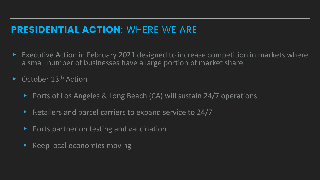## **PRESIDENTIAL ACTION**: WHERE WE ARE

- Executive Action in February 2021 designed to increase competition in markets where a small number of businesses have a large portion of market share
- October 13<sup>th</sup> Action
	- ▸ Ports of Los Angeles & Long Beach (CA) will sustain 24/7 operations
	- ▸ Retailers and parcel carriers to expand service to 24/7
	- ▸ Ports partner on testing and vaccination
	- ▸ Keep local economies moving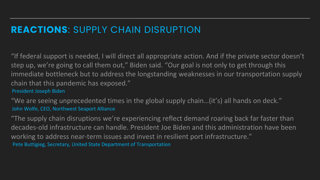## **REACTIONS**: SUPPLY CHAIN DISRUPTION

"If federal support is needed, I will direct all appropriate action. And if the private sector doesn't step up, we're going to call them out," Biden said. "Our goal is not only to get through this immediate bottleneck but to address the longstanding weaknesses in our transportation supply chain that this pandemic has exposed." President Joseph Biden

"We are seeing unprecedented times in the global supply chain…(it's) all hands on deck." John Wolfe, CEO, Northwest Seaport Alliance

"The supply chain disruptions we're experiencing reflect demand roaring back far faster than decades-old infrastructure can handle. President Joe Biden and this administration have been working to address near-term issues and invest in resilient port infrastructure." Pete Buttigieg, Secretary, United State Department of Transportation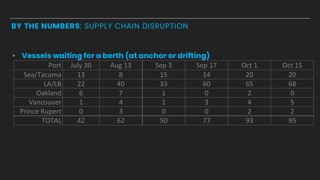## **BY THE NUMBERS**: SUPPLY CHAIN DISRUPTION

| $\triangleright$ Vessels waiting for a berth (at anchor or drifting) |          |               |       |                |       |               |  |  |  |  |
|----------------------------------------------------------------------|----------|---------------|-------|----------------|-------|---------------|--|--|--|--|
| Port                                                                 | July 30  | <b>Aug 13</b> | Sep 3 | Sep 17         | Oct 1 | <b>Oct 15</b> |  |  |  |  |
| Sea/Tacomal                                                          | 13       | 8             | 15    | 14             | 20    | 20            |  |  |  |  |
| LA/LB                                                                | 22       | 40            | 33    | 60             | 65    | 68            |  |  |  |  |
| Oakland                                                              | 6        |               |       | $\bf 0$        |       | $\bf{0}$      |  |  |  |  |
| Vancouver                                                            |          | 4             |       | 3              | 4     |               |  |  |  |  |
| Prince Rupert                                                        | $\bf{O}$ | 3             |       | $\bf{O}$       |       |               |  |  |  |  |
| TOTAL                                                                |          | 62            | 50    | $\prime\prime$ | 93    | 95            |  |  |  |  |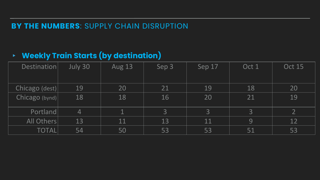## **BY THE NUMBERS**: SUPPLY CHAIN DISRUPTION

## ▸ **Weekly Train Starts (by destination)**

| Destination    | July 30        | <b>Aug 13</b> | Sep 3 | Sep 17 | Oct 1 | <b>Oct 15</b>   |
|----------------|----------------|---------------|-------|--------|-------|-----------------|
| Chicago (dest) | 19             | 20            | 21    | 19     | 18    | 20              |
| Chicago (bynd) | 18             | 18            | 16    | 20     | 21    | 19              |
| Portland       | $\overline{4}$ | $\mathbf{1}$  | 3     | 3      | 3     | 2 <sup>1</sup>  |
| All Others     | 13             | 11            | 13    | 11     | 9     | $\overline{1}2$ |
| <b>TOTAL</b>   | 54             | 50            | 53    | 53     | 51    | 53              |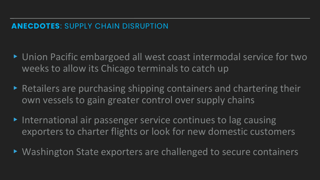- ▸ Union Pacific embargoed all west coast intermodal service for two weeks to allow its Chicago terminals to catch up
- ▸ Retailers are purchasing shipping containers and chartering their own vessels to gain greater control over supply chains
- ▸ International air passenger service continues to lag causing exporters to charter flights or look for new domestic customers
- ▸ Washington State exporters are challenged to secure containers

## **ANECDOTES**: SUPPLY CHAIN DISRUPTION